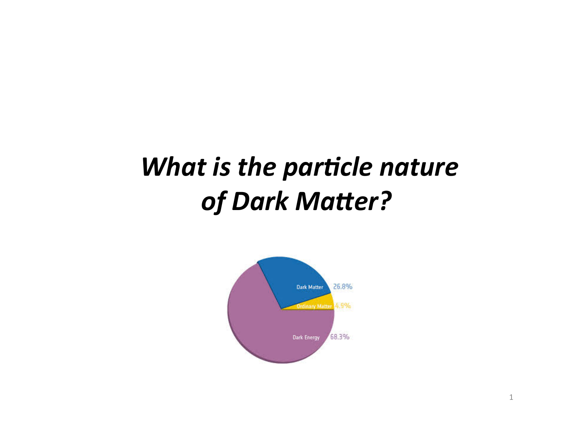## What is the particle nature of Dark Matter?

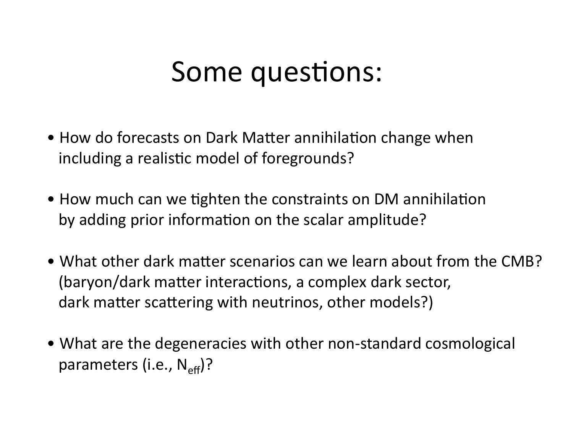## Some questions:

- How do forecasts on Dark Matter annihilation change when including a realistic model of foregrounds?
- How much can we tighten the constraints on DM annihilation by adding prior information on the scalar amplitude?
- What other dark matter scenarios can we learn about from the CMB? (baryon/dark matter interactions, a complex dark sector, dark matter scattering with neutrinos, other models?)
- What are the degeneracies with other non-standard cosmological parameters (i.e.,  $N_{\text{eff}}$ )?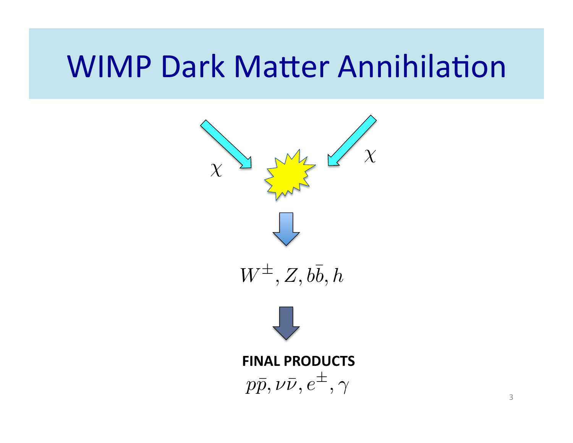# **WIMP Dark Matter Annihilation**

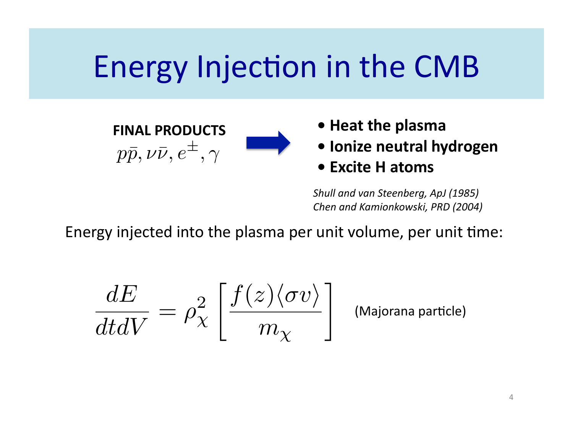# Energy Injection in the CMB





- Ionize neutral hydrogen
- Excite H atoms

Shull and van Steenberg, ApJ (1985) Chen and Kamionkowski, PRD (2004)

Energy injected into the plasma per unit volume, per unit time:

$$
\frac{dE}{dtdV} = \rho_{\chi}^2 \left[ \frac{f(z) \langle \sigma v \rangle}{m_{\chi}} \right]
$$

(Majorana particle)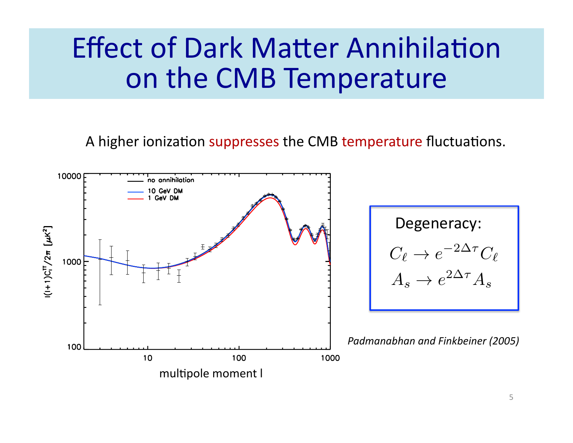## **Effect of Dark Matter Annihilation** on the CMB Temperature

A higher ionization suppresses the CMB temperature fluctuations.

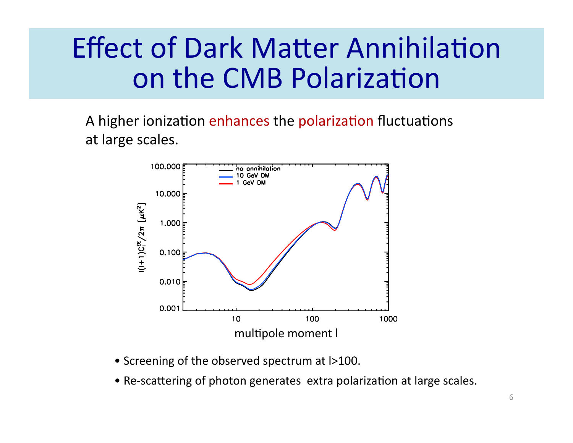# **Effect of Dark Matter Annihilation** on the CMB Polarization

A higher ionization enhances the polarization fluctuations at large scales.



- Screening of the observed spectrum at  $\vert$ >100.
- Re-scattering of photon generates extra polarization at large scales.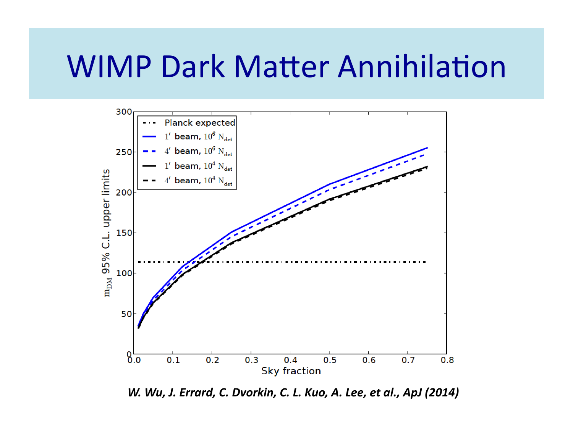## **WIMP Dark Matter Annihilation**



W. Wu, J. Errard, C. Dvorkin, C. L. Kuo, A. Lee, et al., ApJ (2014)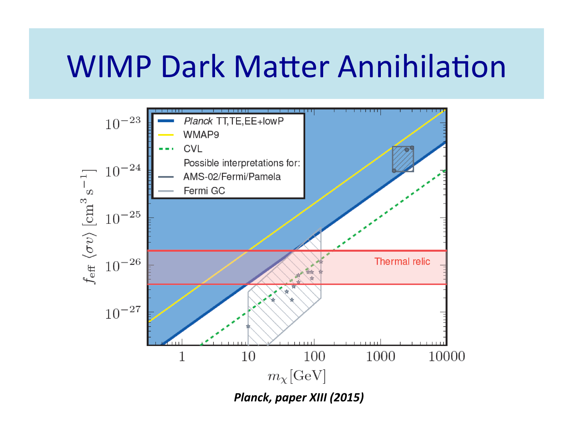## **WIMP Dark Matter Annihilation**